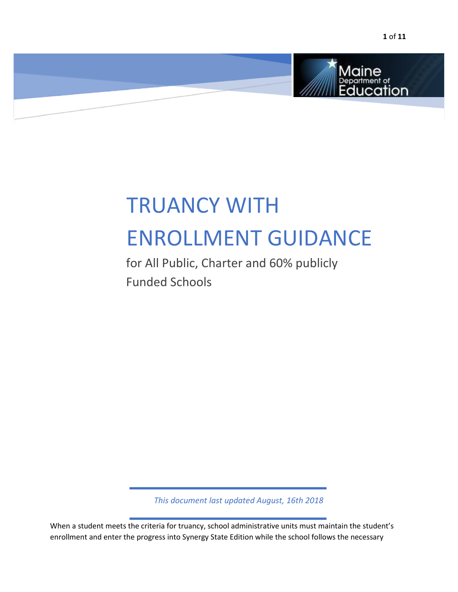

# TRUANCY WITH ENROLLMENT GUIDANCE

for All Public, Charter and 60% publicly Funded Schools

*This document last updated August, 16th 2018* 

 $\overline{a}$ 

 $\overline{a}$ 

When a student meets the criteria for truancy, school administrative units must maintain the student's enrollment and enter the progress into Synergy State Edition while the school follows the necessary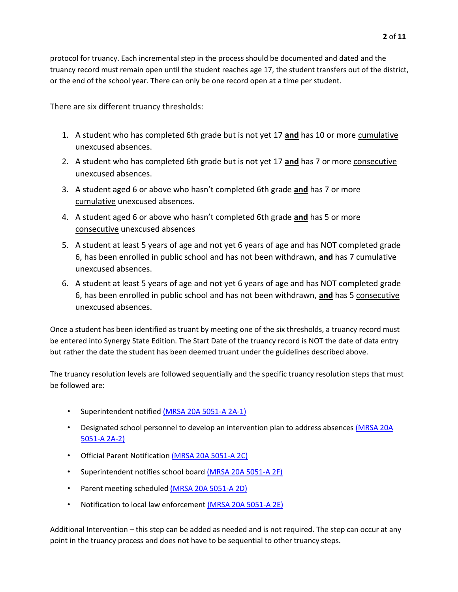protocol for truancy. Each incremental step in the process should be documented and dated and the truancy record must remain open until the student reaches age 17, the student transfers out of the district, or the end of the school year. There can only be one record open at a time per student.

There are six different truancy thresholds:

- 1. A student who has completed 6th grade but is not yet 17 **and** has 10 or more cumulative unexcused absences.
- 2. A student who has completed 6th grade but is not yet 17 **and** has 7 or more consecutive unexcused absences.
- 3. A student aged 6 or above who hasn't completed 6th grade **and** has 7 or more cumulative unexcused absences.
- 4. A student aged 6 or above who hasn't completed 6th grade **and** has 5 or more consecutive unexcused absences
- 5. A student at least 5 years of age and not yet 6 years of age and has NOT completed grade 6, has been enrolled in public school and has not been withdrawn, **and** has 7 cumulative unexcused absences.
- 6. A student at least 5 years of age and not yet 6 years of age and has NOT completed grade 6, has been enrolled in public school and has not been withdrawn, **and** has 5 consecutive unexcused absences.

Once a student has been identified as truant by meeting one of the six thresholds, a truancy record must be entered into Synergy State Edition. The Start Date of the truancy record is NOT the date of data entry but rather the date the student has been deemed truant under the guidelines described above.

The truancy resolution levels are followed sequentially and the specific truancy resolution steps that must be followed are:

- Superintendent notifie[d](http://www.mainelegislature.org/legis/statutes/20-A/title20-Asec5051-A.html) [\(MRSA 20A 5051-A 2A-1\)](http://www.mainelegislature.org/legis/statutes/20-A/title20-Asec5051-A.html)
- Designated school personnel to develop an intervention plan to address absences [\(MRSA 20A](http://www.mainelegislature.org/legis/statutes/20-A/title20-Asec5051-A.html)) [5051-A 2A-2\)](http://www.mainelegislature.org/legis/statutes/20-A/title20-Asec5051-A.html)
- Official Parent Notificati[on](http://www.mainelegislature.org/legis/statutes/20-A/title20-Asec5051-A.html) [\(MRSA 20A 5051-A](http://www.mainelegislature.org/legis/statutes/20-A/title20-Asec5051-A.html) [2C\)](http://www.mainelegislature.org/legis/statutes/20-A/title20-Asec5051-A.html)
- Superinten[d](http://www.mainelegislature.org/legis/statutes/20-A/title20-Asec5051-A.html)ent notifies school board (MRSA 20A 5051-A 2F)
- Parent meeting scheduled [\(MRSA 20A 5051-A 2D\)](http://www.mainelegislature.org/legis/statutes/20-A/title20-Asec5051-A.html)
- Notification to local law enforcement (MRSA 20A 5051-A 2E)

Additional Intervention – this step can be added as needed and is not required. The step can occur at any point in the truancy process and does not have to be sequential to other truancy steps.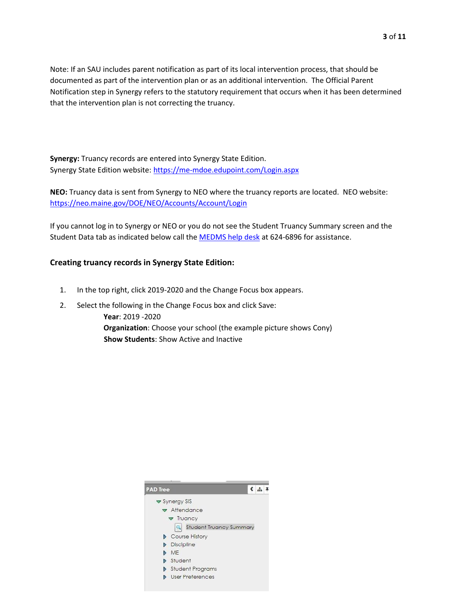Note: If an SAU includes parent notification as part of its local intervention process, that should be documented as part of the intervention plan or as an additional intervention. The Official Parent Notification step in Synergy refers to the statutory requirement that occurs when it has been determined that the intervention plan is not correcting the truancy.

**Synergy:** Truancy records are entered into Synergy State Edition. Synergy State Edition website: [https://me-mdoe.edupoint.com/Login.as](https://me-mdoe.edupoint.com/Login.aspx)px

**NEO:** Truancy data is sent from Synergy to NEO where the truancy reports are located. NEO website: <https://neo.maine.gov/DOE/NEO/Accounts/Account/Login>

If you cannot log in to Synergy or NEO or you do not see the Student Truancy Summary screen and the Student Data tab as indicated below call the MEDMS help desk at 624-6896 for assistance.

## **Creating truancy records in Synergy State Edition:**

- 1. In the top right, click 2019-2020 and the Change Focus box appears.
- 2. Select the following in the Change Focus box and click Save:
	- **Year**: 2019 -2020 **Organization**: Choose your school (the example picture shows Cony) **Show Students**: Show Active and Inactive

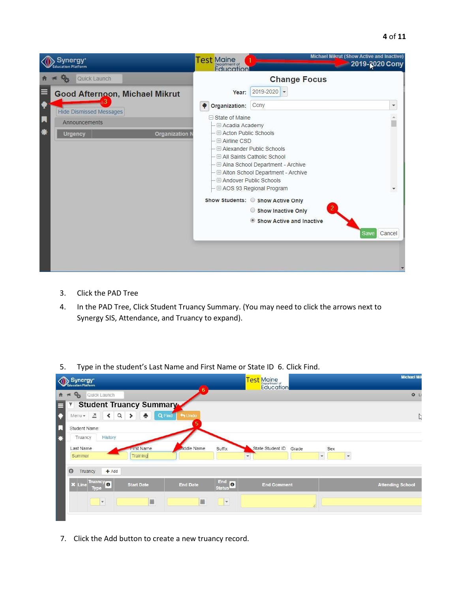| Synergy*<br>ucation Platform                                                                  | Michael Mikrut (Show Active and Inactive)<br>Test Maine<br>2019-2020 Cony<br><b><i><u>Education</u></i></b>                                                                                                                                                                                                                                              |  |
|-----------------------------------------------------------------------------------------------|----------------------------------------------------------------------------------------------------------------------------------------------------------------------------------------------------------------------------------------------------------------------------------------------------------------------------------------------------------|--|
| Quick Launch                                                                                  | <b>Change Focus</b>                                                                                                                                                                                                                                                                                                                                      |  |
| $\equiv$<br><b>Good Afternoon, Michael Mikrut</b>                                             | $2019 - 2020$ $\rightarrow$<br>Year:                                                                                                                                                                                                                                                                                                                     |  |
| Hide Dismissed Messages<br>П<br>Announcements<br>*<br><b>Organization I</b><br><b>Urgency</b> | Cony<br>Organization:<br>٠<br>$\Box$ State of Maine<br><b>E Acadia Academy</b><br>← El Acton Public Schools<br>- <b>E Airline CSD</b><br>- El Alexander Public Schools<br>- El All Saints Catholic School<br>- El Alna School Department - Archive<br>- E Alton School Department - Archive<br>- E Andover Public Schools<br>- E AOS 93 Regional Program |  |
|                                                                                               | Show Students: Show Active Only<br>Show Inactive Only<br>Show Active and Inactive<br>Cancel<br>Save                                                                                                                                                                                                                                                      |  |

- 3. Click the PAD Tree
- 4. In the PAD Tree, Click Student Truancy Summary. (You may need to click the arrows next to Synergy SIS, Attendance, and Truancy to expand).
- 5. Type in the student's Last Name and First Name or State ID 6. Click Find.

| Synergy*<br><b>Education Platform</b>                                                                                      | <b>Test Maine</b><br>Education                                                                                                 | <b>Michael Mil</b>      |
|----------------------------------------------------------------------------------------------------------------------------|--------------------------------------------------------------------------------------------------------------------------------|-------------------------|
| $\mathcal{P}_{\mathcal{O}}$<br>Quick Launch<br>合                                                                           | 6                                                                                                                              | <b>☆</b> L              |
| Student Truancy Summary<br>$\overline{\mathbf{Y}}$<br>$\equiv$                                                             |                                                                                                                                |                         |
| $\bullet$<br>四<br>$\left\langle \right\rangle$<br>$\alpha$<br>Q Find<br>÷<br>$\bigoplus$ Undo<br>$\rightarrow$<br>$Menu -$ |                                                                                                                                | Ľ,                      |
| F<br>$\mathbf \Pi$<br>Student Name:                                                                                        |                                                                                                                                |                         |
| <b>History</b><br>*<br>Truancy                                                                                             |                                                                                                                                |                         |
| widdle Name<br>Last Name<br>First Name<br>Training<br>Summer                                                               | Sex<br>Suffix<br>State Student ID<br>Grade<br>$\boldsymbol{\mathrm{v}}$<br>$\overline{\mathbf{v}}$<br>$\overline{\phantom{a}}$ |                         |
| $\odot$<br>$+$ Add<br>Truancy                                                                                              |                                                                                                                                |                         |
| Truancy <sup>o</sup><br><b>X</b> Line<br><b>End Date</b><br><b>Start Date</b><br>Type                                      | End 8<br><b>End Comment</b><br><b>Status</b>                                                                                   | <b>Attending School</b> |
| ■<br>$\vert \cdot \vert$                                                                                                   | 篇<br>$\blacktriangledown$                                                                                                      |                         |

7. Click the Add button to create a new truancy record.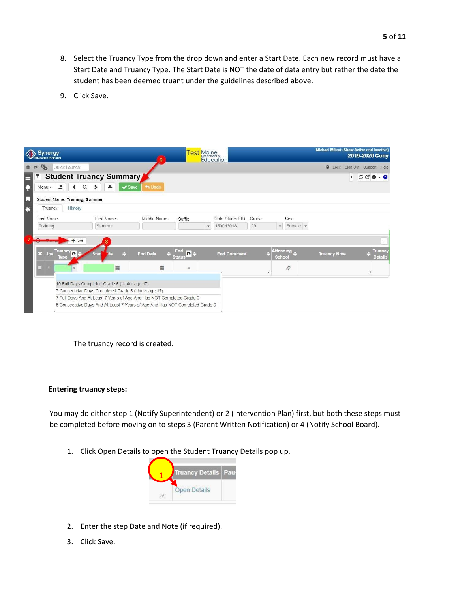- 8. Select the Truancy Type from the drop down and enter a Start Date. Each new record must have a Start Date and Truancy Type. The Start Date is NOT the date of data entry but rather the date the student has been deemed truant under the guidelines described above.
- 9. Click Save.

| Synergy <sup>*</sup><br><b>Education Platform</b> |                                                                              |                 |                     | <b>Test</b> Maine<br><b>Education</b> |       |                                | <b>Michael Mikrut (Show Active and Inactive)</b> | 2019-2020 Cony                         |
|---------------------------------------------------|------------------------------------------------------------------------------|-----------------|---------------------|---------------------------------------|-------|--------------------------------|--------------------------------------------------|----------------------------------------|
| Quick Launch                                      |                                                                              |                 |                     |                                       |       |                                |                                                  | Lock Sign Out Support Help             |
|                                                   | Student Truancy Summary                                                      |                 |                     |                                       |       |                                | $\left  \cdot \right $                           | $CCO - 0$                              |
| 즈<br>$\left\langle \right\rangle$<br>$Menu -$     | $\alpha$<br>÷<br>$\rightarrow$<br>$\blacktriangleright$ Save                 | to Undo         |                     |                                       |       |                                |                                                  |                                        |
| Student Name: Training, Summer                    |                                                                              |                 |                     |                                       |       |                                |                                                  |                                        |
| <b>History</b><br>Truancy                         |                                                                              |                 |                     |                                       |       |                                |                                                  |                                        |
| Last Name                                         | First Name                                                                   | Middle Name     | Suffix              | State Student ID                      | Grade | Sex                            |                                                  |                                        |
| Training                                          | Summer                                                                       |                 |                     | 150043018<br>$\mathbf{v}$             | 09    | Female -<br>$\tau$             |                                                  |                                        |
| $+Add$<br>Truancy o<br>X Line                     | <b>Stari</b>                                                                 | <b>End Date</b> | End<br>$\theta$     | <b>End Comment</b>                    |       | <b>Attending</b>               | <b>Truancy Note</b>                              | $\cdots$<br><b>Truancy</b>             |
| <b>Type</b>                                       | 盖                                                                            | 盖               | <b>Status</b><br>×. |                                       | 11    | <b>School</b><br>$\mathcal{S}$ |                                                  | <b>Details</b><br>$\overline{\lambda}$ |
|                                                   | 10 Full Days Completed Grade 6 (Under age 17)                                |                 |                     |                                       |       |                                |                                                  |                                        |
|                                                   | 7 Consecutive Days Completed Grade 6 (Under age 17)                          |                 |                     |                                       |       |                                |                                                  |                                        |
|                                                   | 7 Full Days And At Least 7 Years of Age And Has NOT Completed Grade 6        |                 |                     |                                       |       |                                |                                                  |                                        |
|                                                   | 5 Consecutive Days And At Least 7 Years of Age And Has NOT Completed Grade 6 |                 |                     |                                       |       |                                |                                                  |                                        |

The truancy record is created.

#### **Entering truancy steps:**

You may do either step 1 (Notify Superintendent) or 2 (Intervention Plan) first, but both these steps must be completed before moving on to steps 3 (Parent Written Notification) or 4 (Notify School Board).

1. Click Open Details to open the Student Truancy Details pop up.



- 2. Enter the step Date and Note (if required).
- 3. Click Save.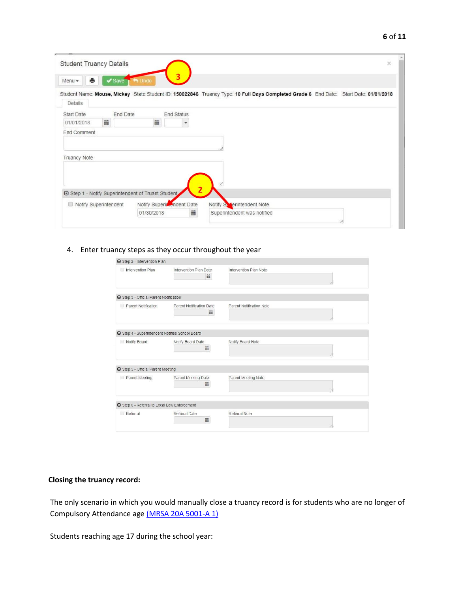| ۰,<br>٧ |  |
|---------|--|
|---------|--|

|                   |          |                               |  | Student Name: Mouse, Mickey State Student ID: 150022846 Truancy Type: 10 Full Days Completed Grade 6 End Date: Start Date: 01/01/2018 |
|-------------------|----------|-------------------------------|--|---------------------------------------------------------------------------------------------------------------------------------------|
| Details           |          |                               |  |                                                                                                                                       |
| <b>Start Date</b> | End Date | End Status                    |  |                                                                                                                                       |
| 篇<br>01/01/2018   |          | 篇<br>$\overline{\phantom{a}}$ |  |                                                                                                                                       |
| End Comment       |          |                               |  |                                                                                                                                       |
|                   |          |                               |  |                                                                                                                                       |
|                   |          |                               |  |                                                                                                                                       |
| Truancy Note      |          |                               |  |                                                                                                                                       |
|                   |          |                               |  |                                                                                                                                       |
|                   |          |                               |  |                                                                                                                                       |
|                   |          |                               |  |                                                                                                                                       |
|                   |          |                               |  |                                                                                                                                       |

# 4. Enter truancy steps as they occur throughout the year

| Step 2 - Intervention Plan                             |                                 |                          |
|--------------------------------------------------------|---------------------------------|--------------------------|
| Intervention Plan                                      | Intervention Plan Date<br>盖     | Intervention Plan Note   |
| Step 3 - Official Parent Notification                  |                                 |                          |
| Parent Notification                                    | Parent Notification Date<br>iii | Parent Notification Note |
| <b>O</b> Step 4 - Superintendent Notifies School Board |                                 |                          |
| Notify Board                                           | Notify Board Date<br>盖          | Notify Board Note        |
| Step 5 - Official Parent Meeting                       |                                 |                          |
| Parent Meeting                                         | Parent Meeting Date<br>盖        | Parent Meeting Note      |
| <b>△</b> Step 6 - Referral to Local Law Enforcement    |                                 |                          |
| Referral                                               | Referral Date<br>盖              | Referral Note            |

# **Closing the truancy record:**

The only scenario in which you would manually close a truancy record is for students who are no longer of Compulsory Attendance ag[e](http://www.mainelegislature.org/legis/statutes/20-A/title20-Asec5001-A.html) [\(MRSA 20A 5001-A 1\)](http://www.mainelegislature.org/legis/statutes/20-A/title20-Asec5001-A.html) 

Students reaching age 17 during the school year: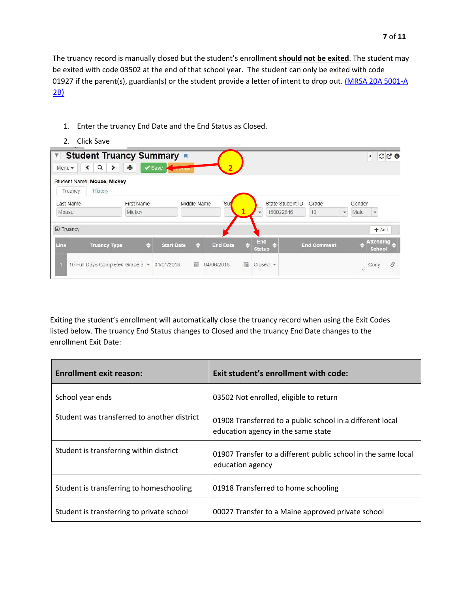The truancy record is manually closed but the student's enrollment **should not be exited**. The student may be exited with code 03502 at the end of that school year. The student can only be exited with code 01927 if the parent(s), guardian(s) or the student provide a letter of intent to drop out[.](http://www.mainelegislature.org/legis/statutes/20-A/title20-Asec5001-A.html) [\(MRSA 20A 5001-A](http://www.mainelegislature.org/legis/statutes/20-A/title20-Asec5001-A.html) [2B\)](http://www.mainelegislature.org/legis/statutes/20-A/title20-Asec5001-A.html) 

- Student Truancy Summary  $\overline{\mathbb{Y}}$  $\circ$   $\circ$   $\circ$ Save  $Q \rightarrow$  $Menu -$ **2**Student Name: Mouse, Mickey Truancy History Last Name First Name Middle Name State Student ID Grade Gender Su Mickey **1** Mouse 150022846  $10$  $\star$ Male  $\overline{\phantom{a}}$ O Truancy  $+$  Add End<br>Status Attending<sub>e</sub> **Start Date** End Comment **Truancy Type** e  $\ddot{ }$ **End Date** ٥ Line a 10 Full Days Completed Grade 6 - 01/01/2018 篇 04/06/2018 ■ Closed ▼ Cony  $\mathcal{S}$ B
- 1. Enter the truancy End Date and the End Status as Closed.
- 2. Click Save

Exiting the student's enrollment will automatically close the truancy record when using the Exit Codes listed below. The truancy End Status changes to Closed and the truancy End Date changes to the enrollment Exit Date:

| <b>Enrollment exit reason:</b>              | Exit student's enrollment with code:                                                            |
|---------------------------------------------|-------------------------------------------------------------------------------------------------|
| School year ends                            | 03502 Not enrolled, eligible to return                                                          |
| Student was transferred to another district | 01908 Transferred to a public school in a different local<br>education agency in the same state |
| Student is transferring within district     | 01907 Transfer to a different public school in the same local<br>education agency               |
| Student is transferring to homeschooling    | 01918 Transferred to home schooling                                                             |
| Student is transferring to private school   | 00027 Transfer to a Maine approved private school                                               |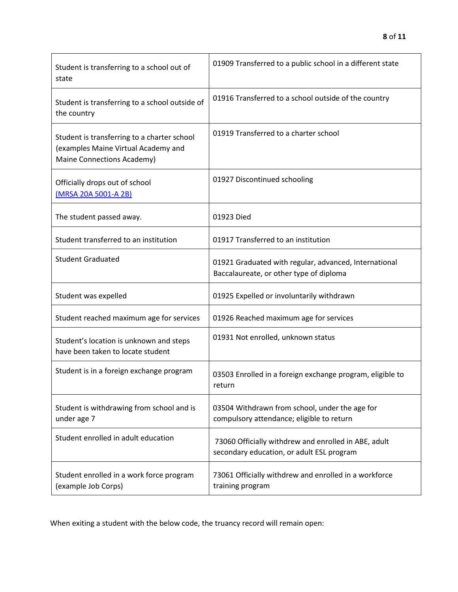| Student is transferring to a school out of<br>state                                                                     | 01909 Transferred to a public school in a different state                                         |
|-------------------------------------------------------------------------------------------------------------------------|---------------------------------------------------------------------------------------------------|
| Student is transferring to a school outside of<br>the country                                                           | 01916 Transferred to a school outside of the country                                              |
| Student is transferring to a charter school<br>(examples Maine Virtual Academy and<br><b>Maine Connections Academy)</b> | 01919 Transferred to a charter school                                                             |
| Officially drops out of school<br>(MRSA 20A 5001-A 2B)                                                                  | 01927 Discontinued schooling                                                                      |
| The student passed away.                                                                                                | 01923 Died                                                                                        |
| Student transferred to an institution                                                                                   | 01917 Transferred to an institution                                                               |
| <b>Student Graduated</b>                                                                                                | 01921 Graduated with regular, advanced, International<br>Baccalaureate, or other type of diploma  |
| Student was expelled                                                                                                    | 01925 Expelled or involuntarily withdrawn                                                         |
| Student reached maximum age for services                                                                                | 01926 Reached maximum age for services                                                            |
| Student's location is unknown and steps<br>have been taken to locate student                                            | 01931 Not enrolled, unknown status                                                                |
| Student is in a foreign exchange program                                                                                | 03503 Enrolled in a foreign exchange program, eligible to<br>return                               |
| Student is withdrawing from school and is<br>under age 7                                                                | 03504 Withdrawn from school, under the age for<br>compulsory attendance; eligible to return       |
| Student enrolled in adult education                                                                                     | 73060 Officially withdrew and enrolled in ABE, adult<br>secondary education, or adult ESL program |
| Student enrolled in a work force program<br>(example Job Corps)                                                         | 73061 Officially withdrew and enrolled in a workforce<br>training program                         |

When exiting a student with the below code, the truancy record will remain open: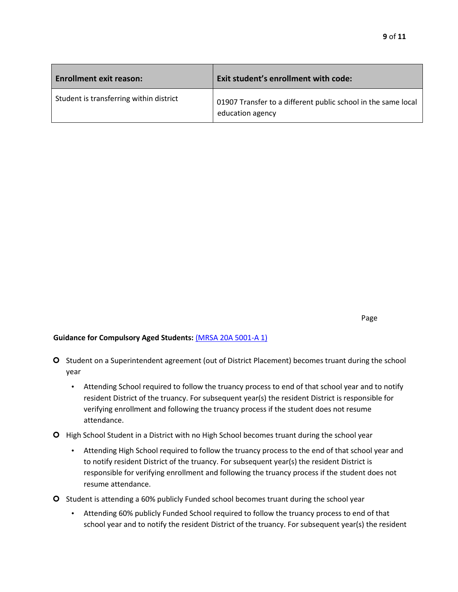| <b>Enrollment exit reason:</b>          | Exit student's enrollment with code:                                              |
|-----------------------------------------|-----------------------------------------------------------------------------------|
| Student is transferring within district | 01907 Transfer to a different public school in the same local<br>education agency |

Page

#### **Guidance for Compulsory Aged Students:** [\(MRSA 20A 5001-A 1\)](http://www.mainelegislature.org/legis/statutes/20-A/title20-Asec5001-A.html)

- **O** Student on a Superintendent agreement (out of District Placement) becomes truant during the school year
	- Attending School required to follow the truancy process to end of that school year and to notify resident District of the truancy. For subsequent year(s) the resident District is responsible for verifying enrollment and following the truancy process if the student does not resume attendance.
- **O** High School Student in a District with no High School becomes truant during the school year
	- Attending High School required to follow the truancy process to the end of that school year and to notify resident District of the truancy. For subsequent year(s) the resident District is responsible for verifying enrollment and following the truancy process if the student does not resume attendance.
- Student is attending a 60% publicly Funded school becomes truant during the school year
	- Attending 60% publicly Funded School required to follow the truancy process to end of that school year and to notify the resident District of the truancy. For subsequent year(s) the resident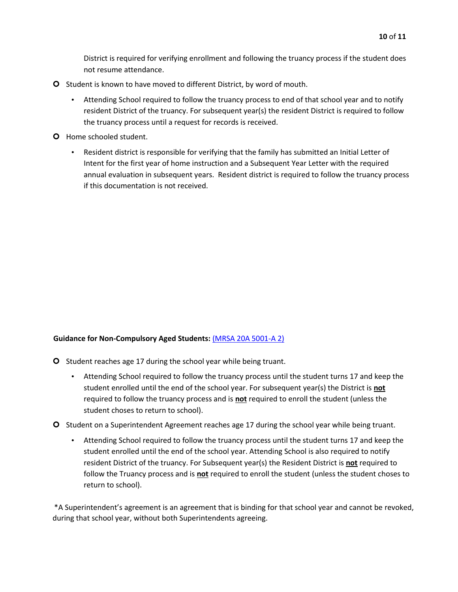District is required for verifying enrollment and following the truancy process if the student does not resume attendance.

- **O** Student is known to have moved to different District, by word of mouth.
	- Attending School required to follow the truancy process to end of that school year and to notify resident District of the truancy. For subsequent year(s) the resident District is required to follow the truancy process until a request for records is received.
- **O** Home schooled student.
	- Resident district is responsible for verifying that the family has submitted an Initial Letter of Intent for the first year of home instruction and a Subsequent Year Letter with the required annual evaluation in subsequent years. Resident district is required to follow the truancy process if this documentation is not received.

## **Guidance for Non-Compulsory Aged Students[:](http://www.mainelegislature.org/legis/statutes/20-A/title20-Asec5001-A.html)** [\(MRSA 20A 5001-A](http://www.mainelegislature.org/legis/statutes/20-A/title20-Asec5001-A.html) [2\)](http://www.mainelegislature.org/legis/statutes/20-A/title20-Asec5001-A.html)

- O Student reaches age 17 during the school year while being truant.
	- Attending School required to follow the truancy process until the student turns 17 and keep the student enrolled until the end of the school year. For subsequent year(s) the District is **not** required to follow the truancy process and is **not** required to enroll the student (unless the student choses to return to school).
- O Student on a Superintendent Agreement reaches age 17 during the school year while being truant.
	- Attending School required to follow the truancy process until the student turns 17 and keep the student enrolled until the end of the school year. Attending School is also required to notify resident District of the truancy. For Subsequent year(s) the Resident District is **not** required to follow the Truancy process and is **not** required to enroll the student (unless the student choses to return to school).

\*A Superintendent's agreement is an agreement that is binding for that school year and cannot be revoked, during that school year, without both Superintendents agreeing.